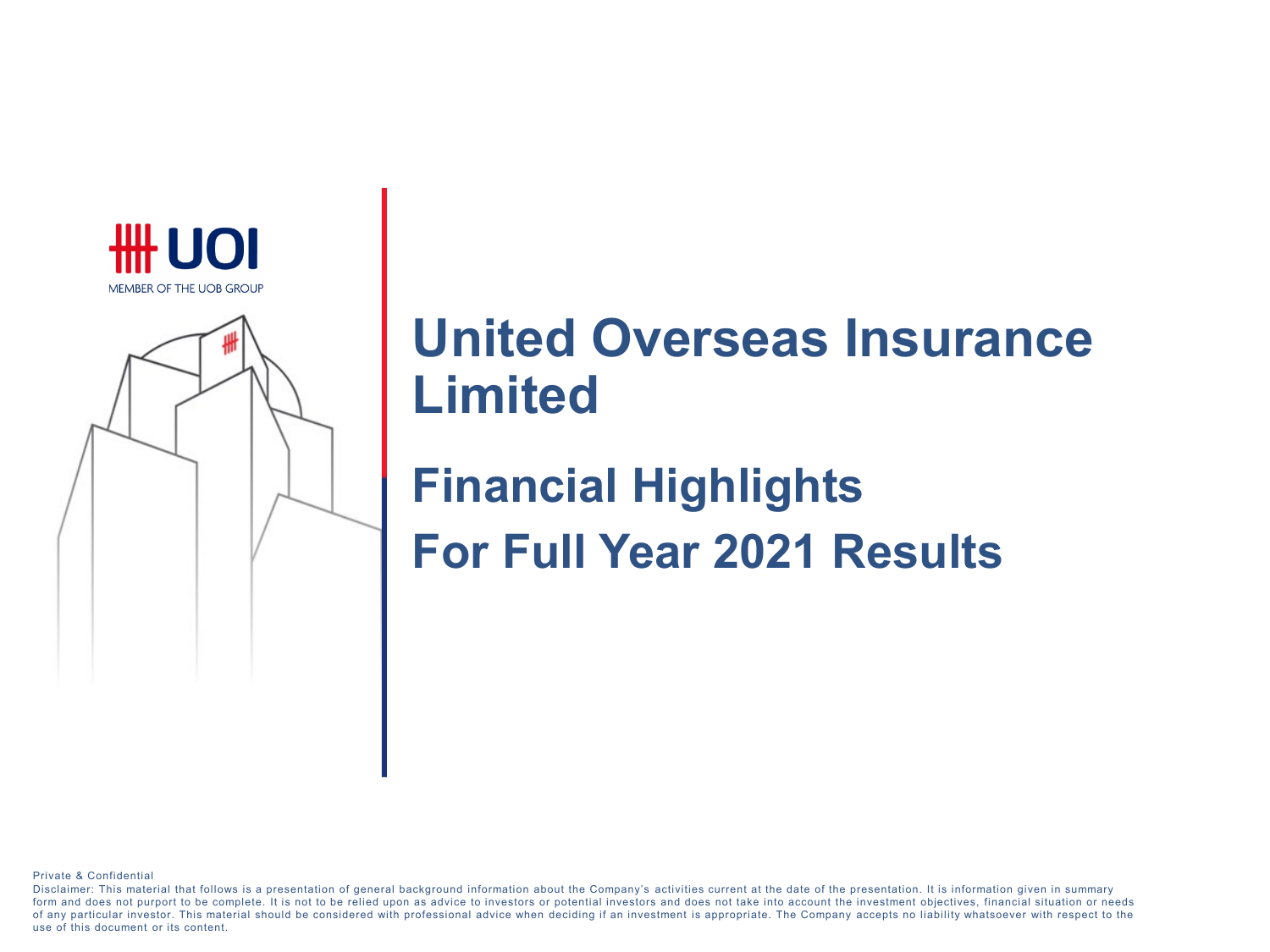



# **United Overseas Insurance Limited**

**Financial Highlights For Full Year 2021 Results**

Private & Confidential

Disclaimer: This material that follows is a presentation of general background information about the Company's activities current at the date of the presentation. It is information given in summary form and does not purport to be complete. It is not to be relied upon as advice to investors or potential investors and does not take into account the investment objectives, financial situation or needs of any particular investor. This material should be considered with professional advice when deciding if an investment is appropriate. The Company accepts no liability whatsoever with respect to the use of this document or its content.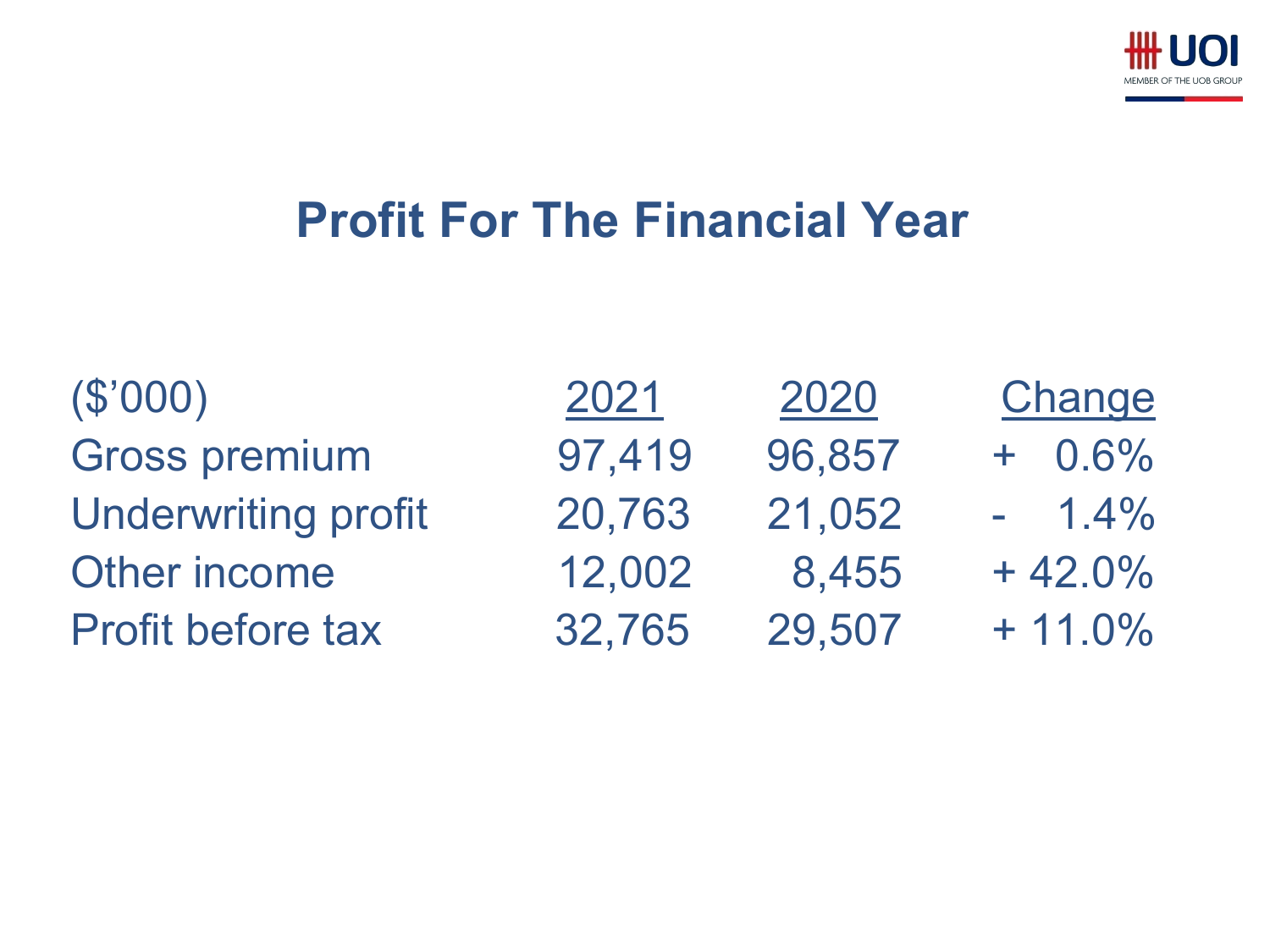

# **Profit For The Financial Year**

| 2021   | 2020   | Change     |
|--------|--------|------------|
| 97,419 | 96,857 | $+ 0.6\%$  |
| 20,763 | 21,052 | $-1.4\%$   |
| 12,002 | 8,455  | $+42.0%$   |
| 32,765 | 29,507 | $+ 11.0\%$ |
|        |        |            |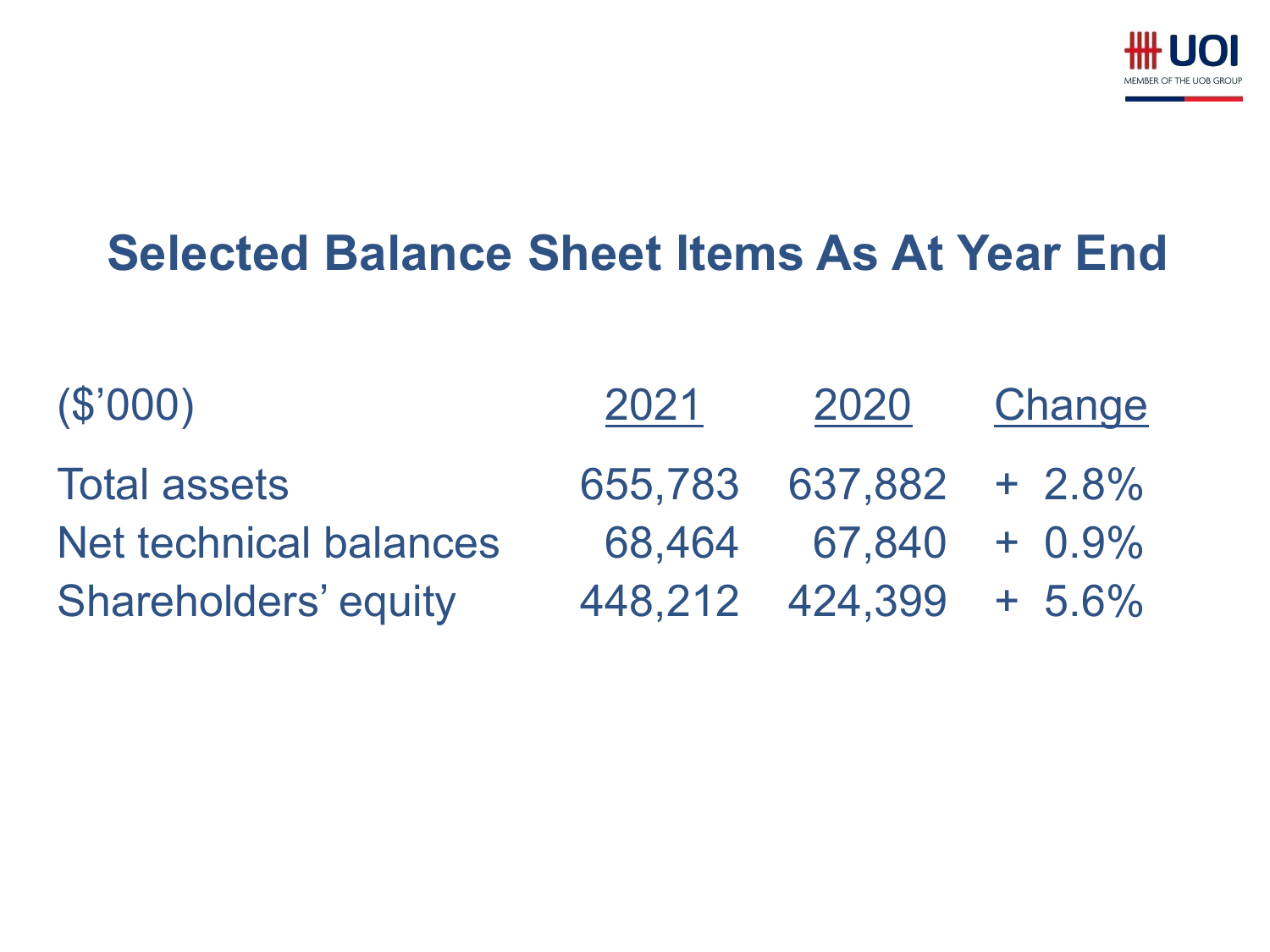

# **Selected Balance Sheet Items As At Year End**

| (\$'000)                      | 2021 | 2020                     | Change |
|-------------------------------|------|--------------------------|--------|
| <b>Total assets</b>           |      | 655.783 637,882 + 2.8%   |        |
| <b>Net technical balances</b> |      | $68.464$ $67.840$ + 0.9% |        |
| <b>Shareholders' equity</b>   |      | 448,212 424,399 + 5.6%   |        |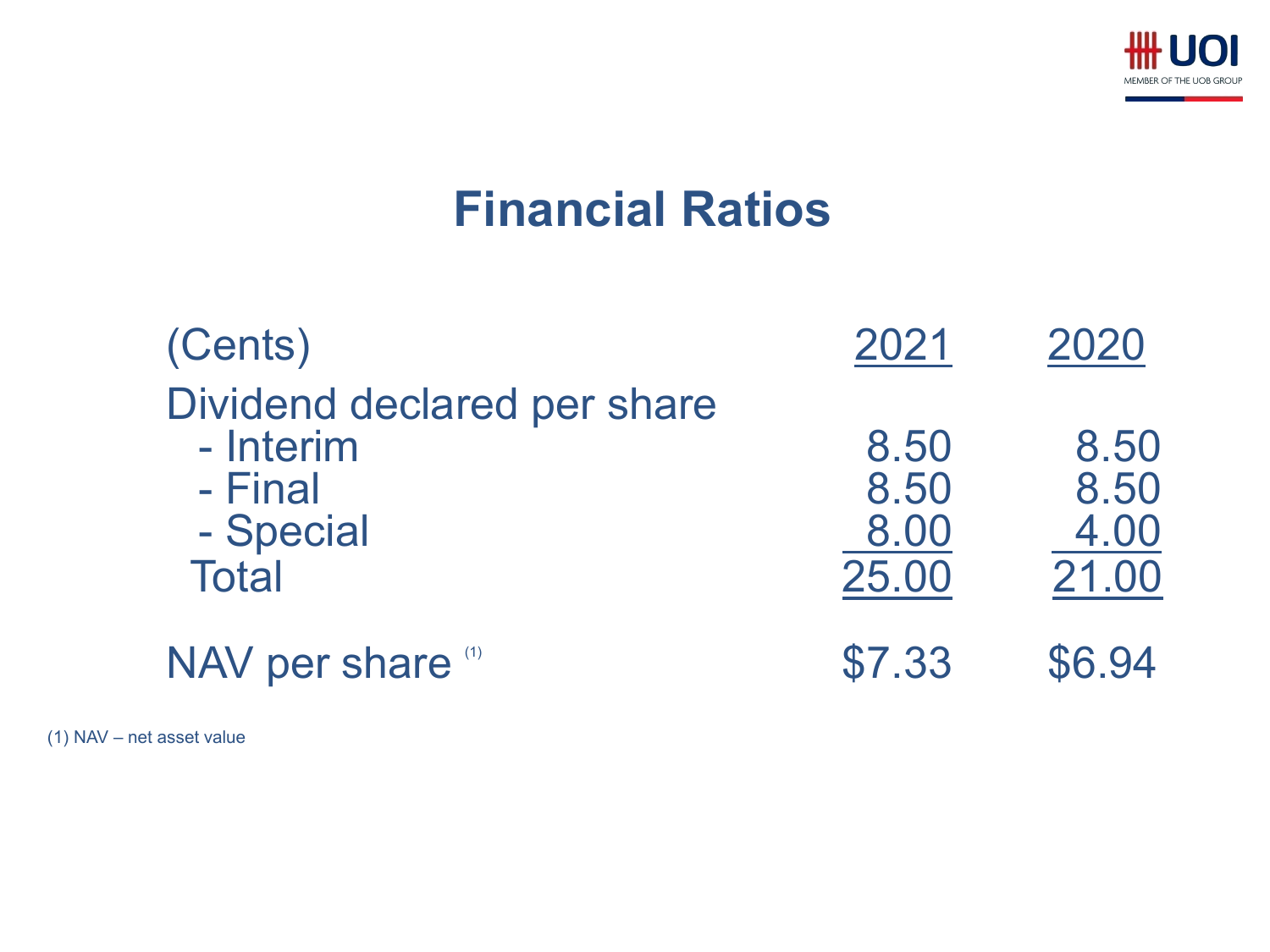

# **Financial Ratios**

| (Cents)                                                                          | 2021                          | 2020                          |
|----------------------------------------------------------------------------------|-------------------------------|-------------------------------|
| Dividend declared per share<br>- Interim<br>- Final<br>- Special<br><b>Total</b> | 8.50<br>8.50<br>8.00<br>25.00 | 8.50<br>8.50<br>4.00<br>21.00 |
| NAV per share (1)                                                                | \$7.33                        | \$6.94                        |

(1) NAV – net asset value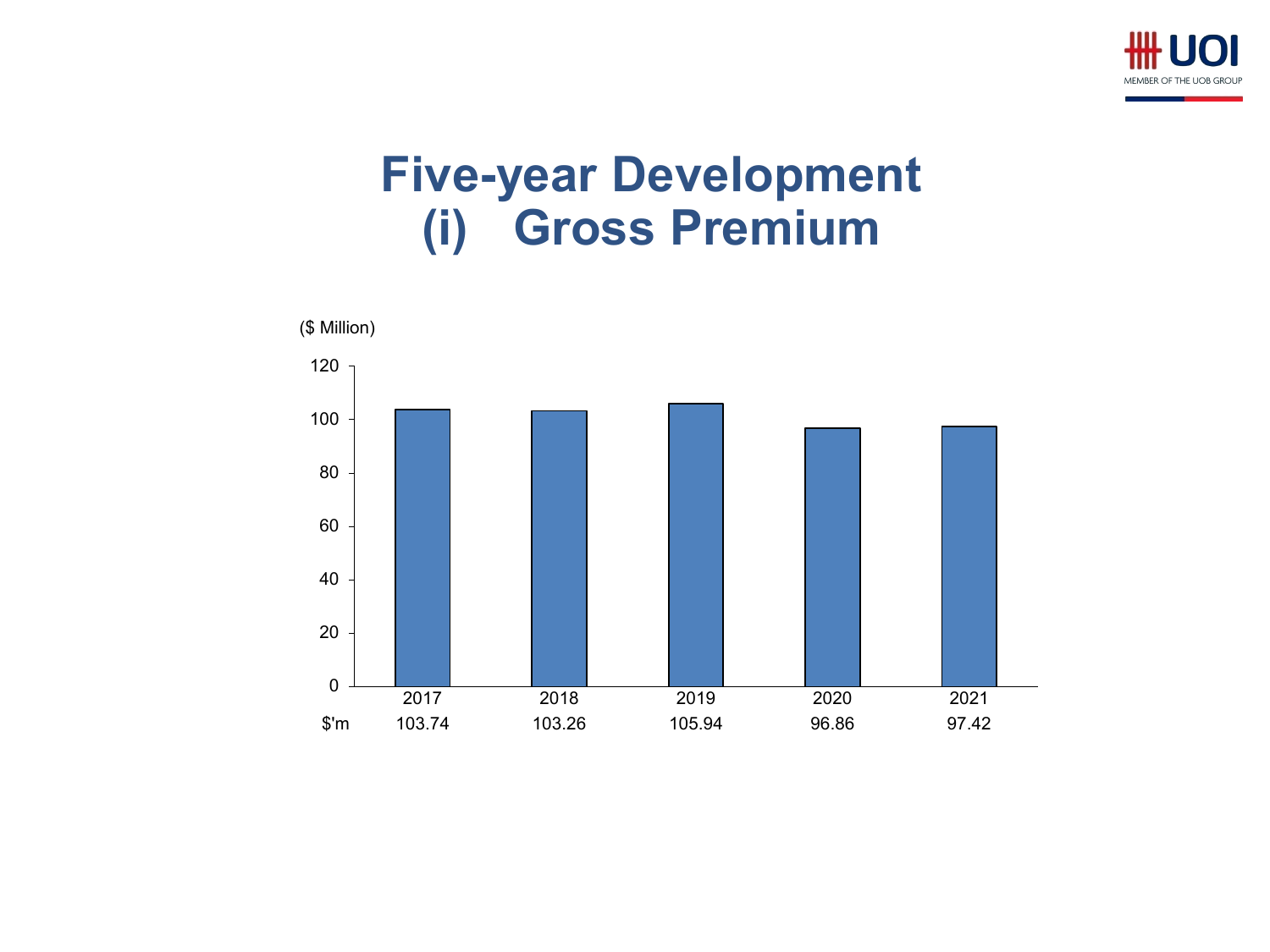

### **Five-year Development (i) Gross Premium**

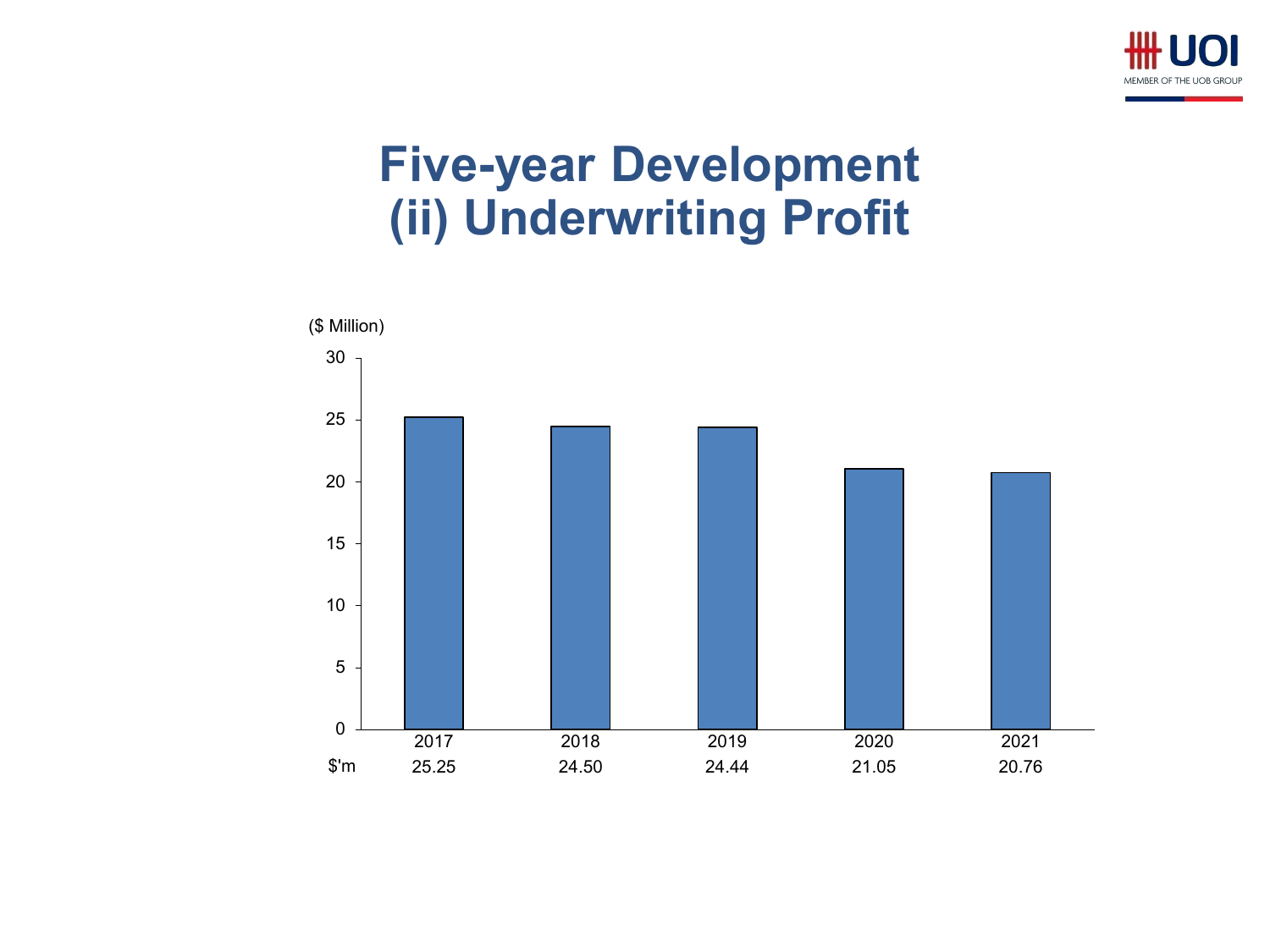

# **Five-year Development (ii) Underwriting Profit**

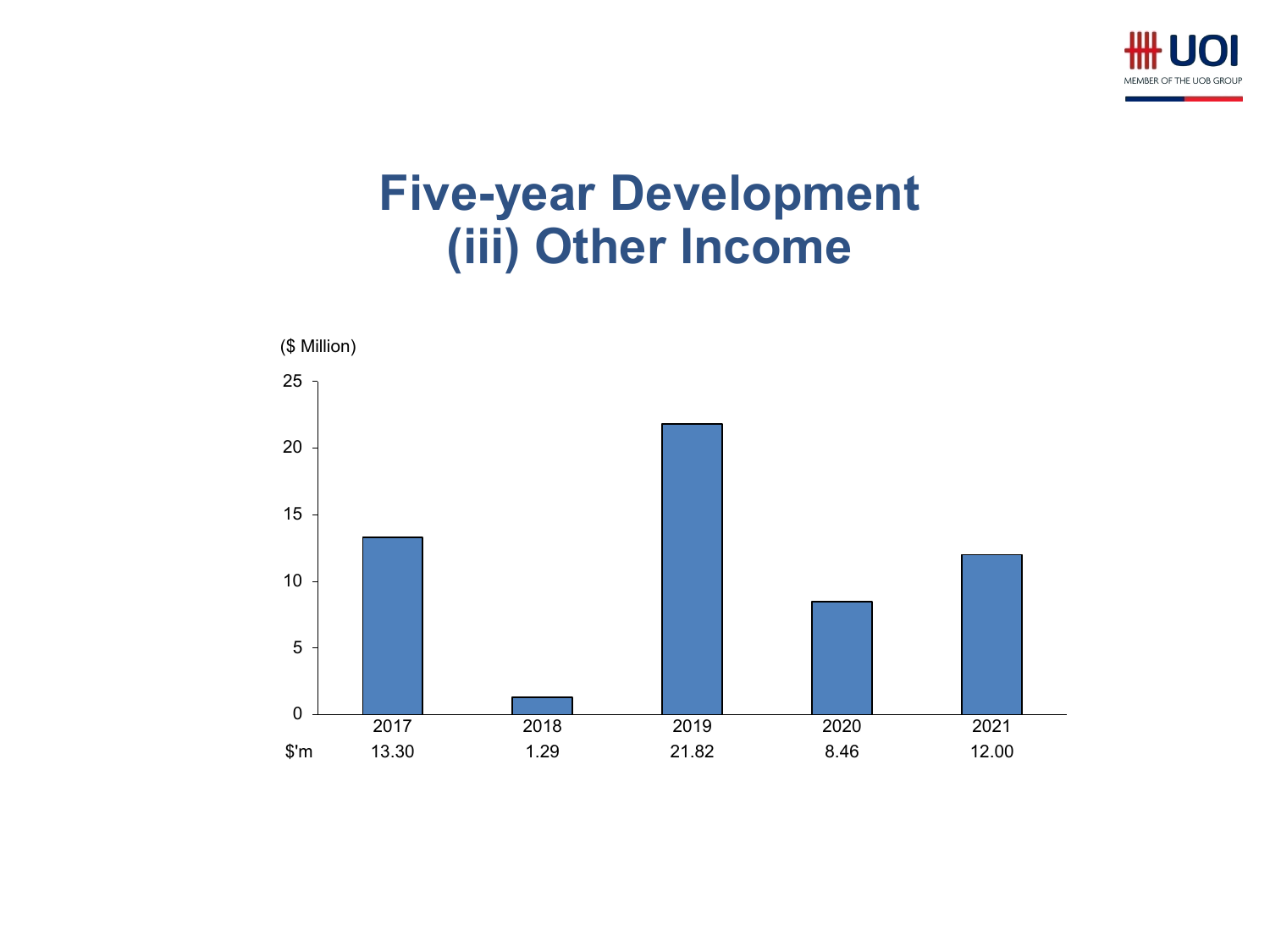

#### **Five-year Development (iii) Other Income**

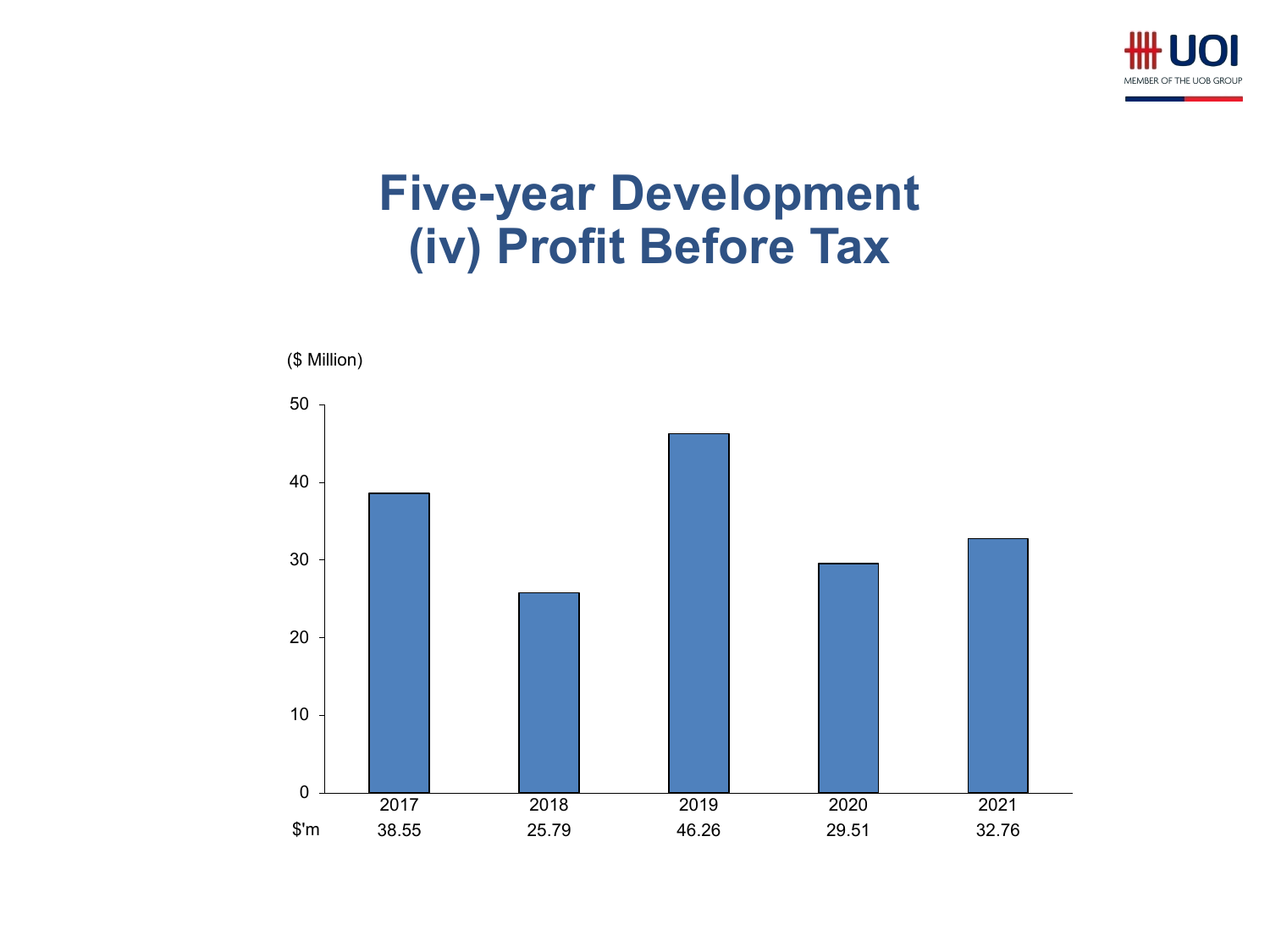

#### **Five-year Development (iv) Profit Before Tax**

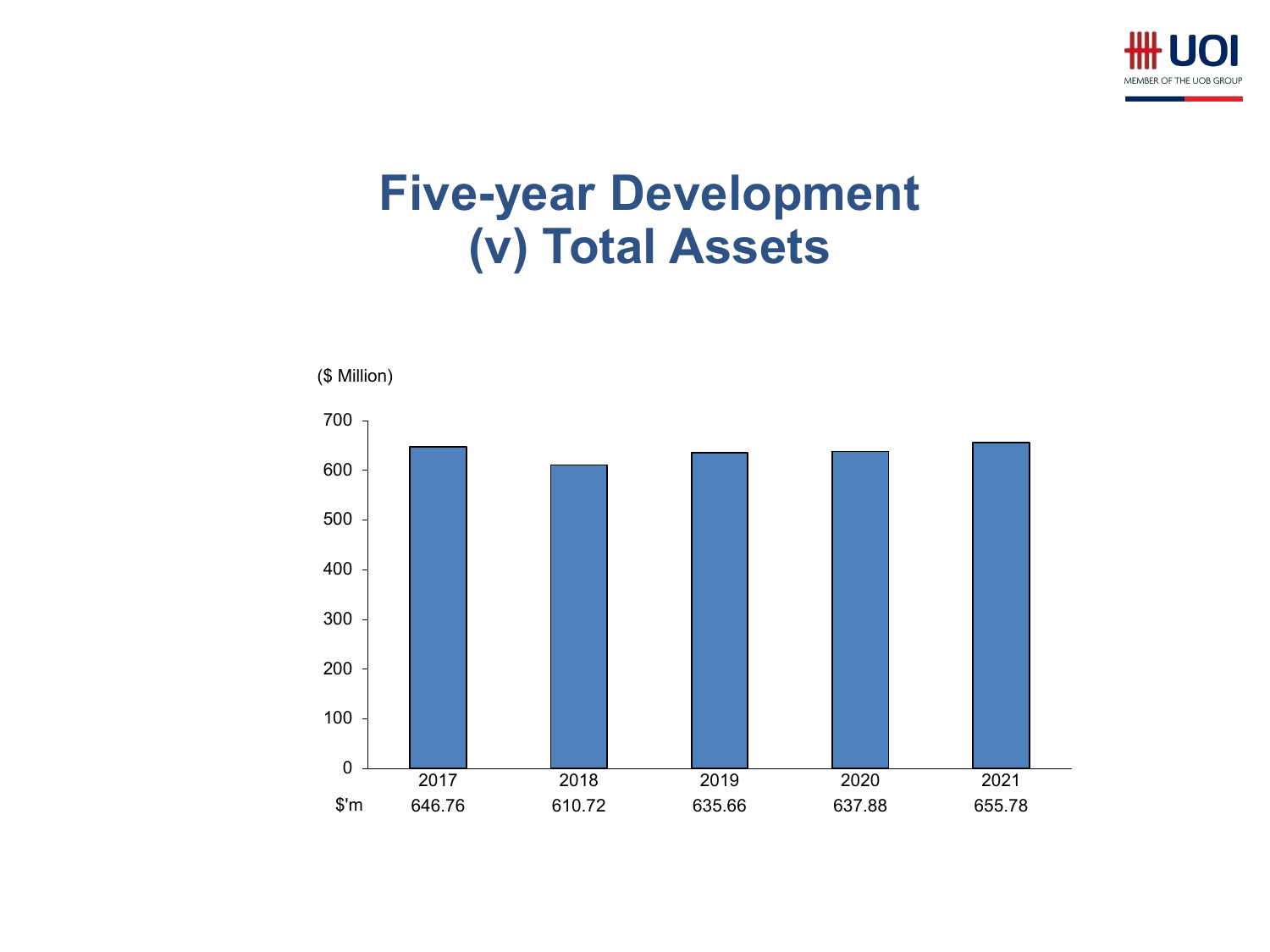

#### **Five-year Development (v) Total Assets**

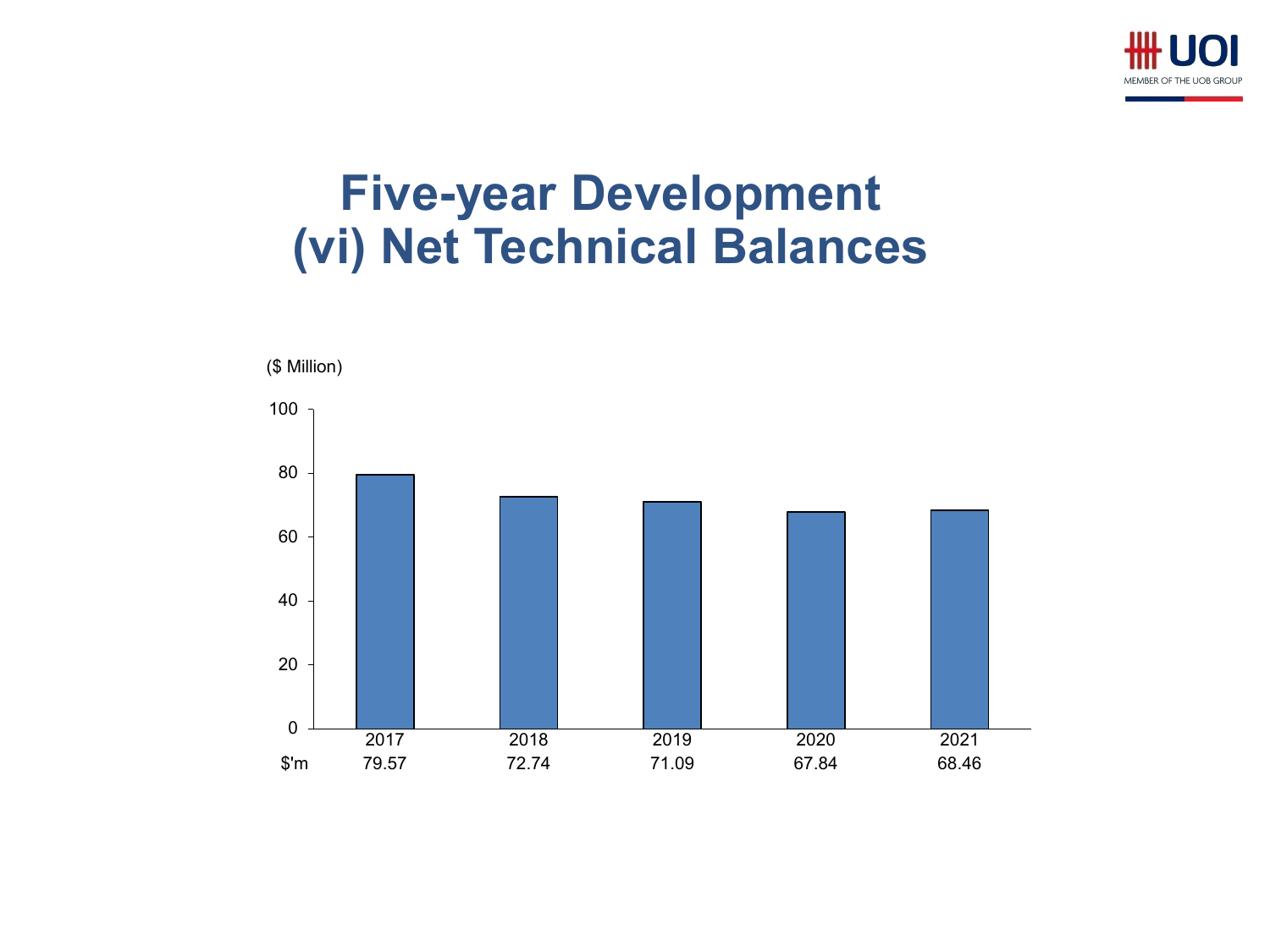

### **Five-year Development (vi) Net Technical Balances**

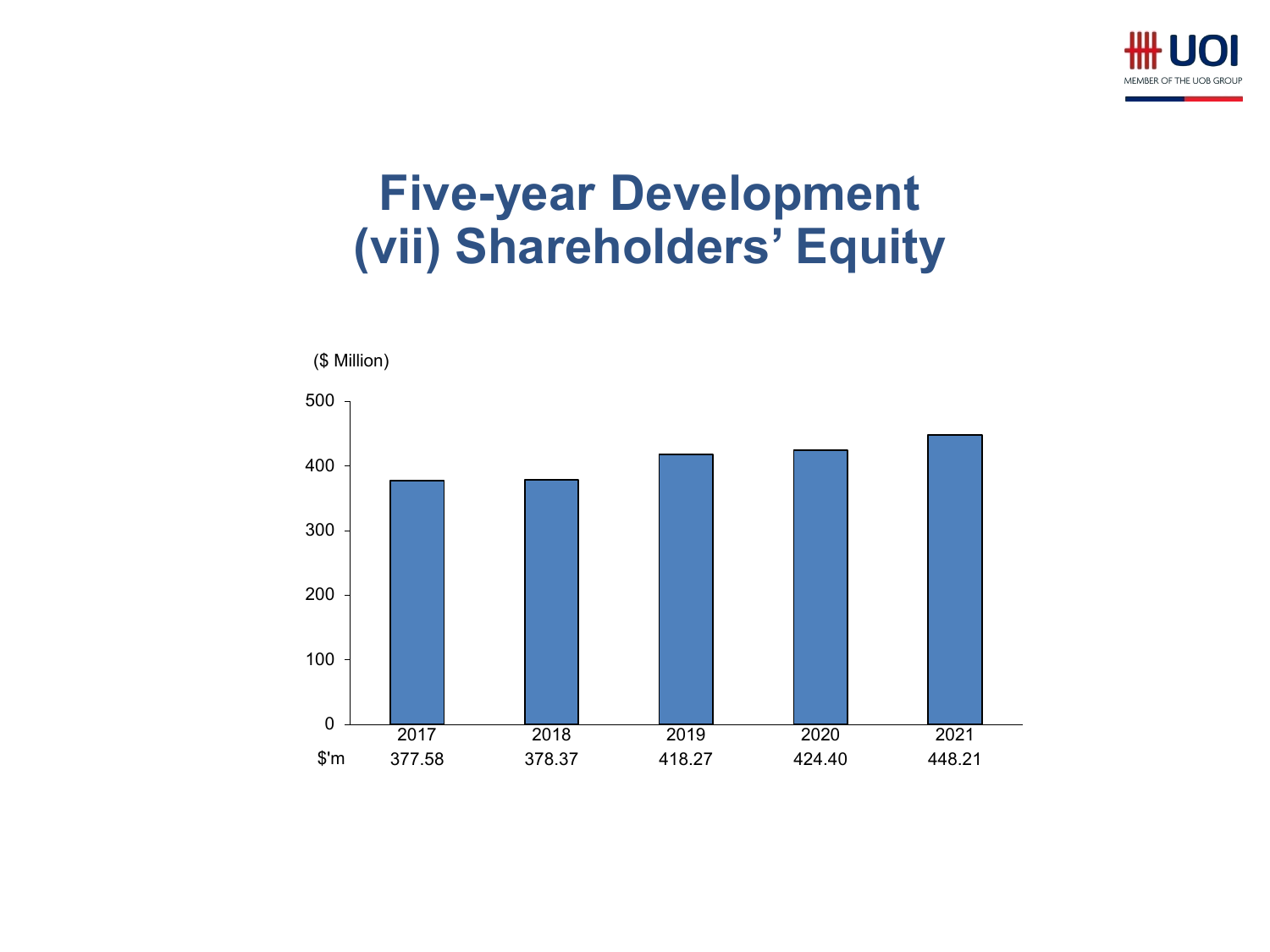

# **Five-year Development (vii) Shareholders' Equity**

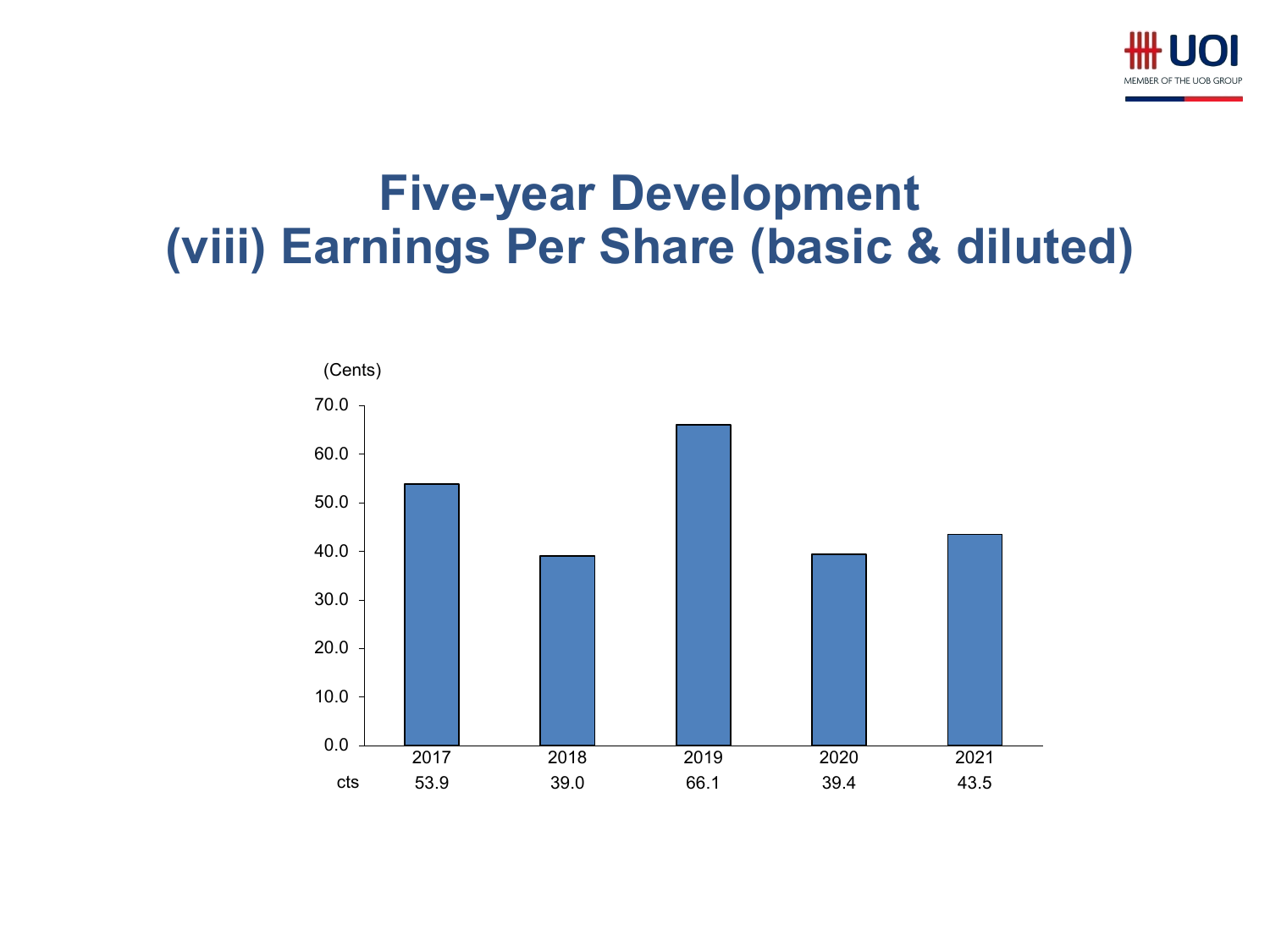

### **Five-year Development (viii) Earnings Per Share (basic & diluted)**

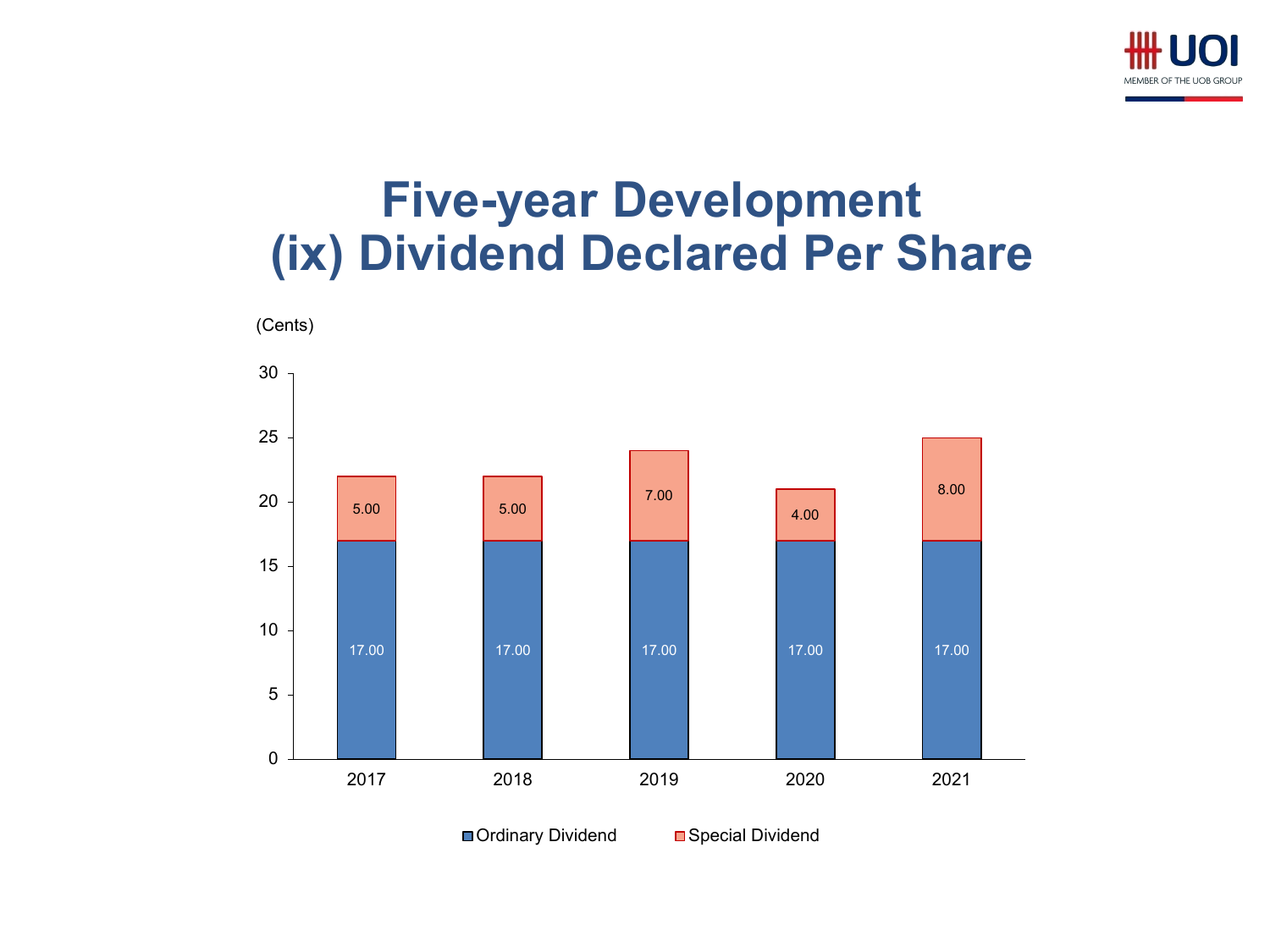

## **Five-year Development (ix) Dividend Declared Per Share**



■ Ordinary Dividend Bopecial Dividend